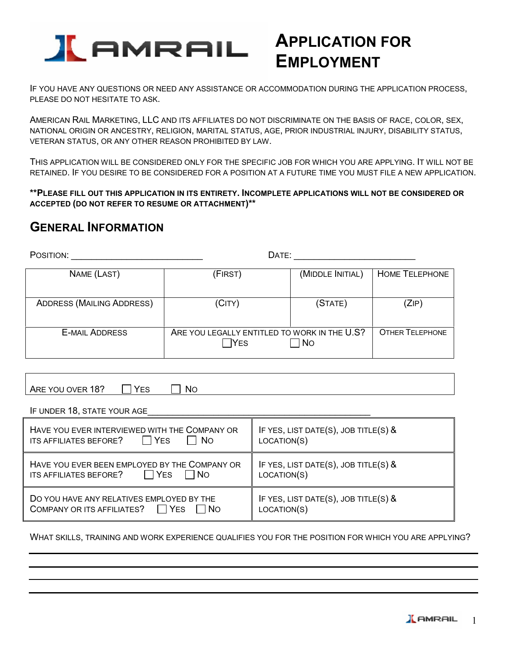

# **APPLICATION FOR EMPLOYMENT**

IF YOU HAVE ANY QUESTIONS OR NEED ANY ASSISTANCE OR ACCOMMODATION DURING THE APPLICATION PROCESS, PLEASE DO NOT HESITATE TO ASK.

AMERICAN RAIL MARKETING, LLC AND ITS AFFILIATES DO NOT DISCRIMINATE ON THE BASIS OF RACE, COLOR, SEX, NATIONAL ORIGIN OR ANCESTRY, RELIGION, MARITAL STATUS, AGE, PRIOR INDUSTRIAL INJURY, DISABILITY STATUS, VETERAN STATUS, OR ANY OTHER REASON PROHIBITED BY LAW.

THIS APPLICATION WILL BE CONSIDERED ONLY FOR THE SPECIFIC JOB FOR WHICH YOU ARE APPLYING. IT WILL NOT BE RETAINED. IF YOU DESIRE TO BE CONSIDERED FOR A POSITION AT A FUTURE TIME YOU MUST FILE A NEW APPLICATION.

**\*\*PLEASE FILL OUT THIS APPLICATION IN ITS ENTIRETY. INCOMPLETE APPLICATIONS WILL NOT BE CONSIDERED OR ACCEPTED (DO NOT REFER TO RESUME OR ATTACHMENT)\*\*** 

### **GENERAL INFORMATION**

POSITION: \_\_\_\_\_\_\_\_\_\_\_\_\_\_\_\_\_\_\_\_\_\_\_\_\_\_ DATE: \_\_\_\_\_\_\_\_\_\_\_\_\_\_\_\_\_\_\_\_\_\_\_\_ NAME (LAST)  $\vert$  (FIRST)  $\vert$  (MIDDLE INITIAL) HOME TELEPHONE ADDRESS (MAILING ADDRESS) (CITY) (STATE) (ZIP) E-MAIL ADDRESS **ARE YOU LEGALLY ENTITLED TO WORK IN THE U.S?**  $\Box$ YES  $\Box$ NO OTHER TELEPHONE

| ARE YOU OVER 18? | $\Box$ YES | $\Box$ No |  |
|------------------|------------|-----------|--|

IF UNDER 18, STATE YOUR AGE

| HAVE YOU EVER INTERVIEWED WITH THE COMPANY OR<br>$\Box$ Yes<br>ITS AFFILIATES BEFORE?<br><b>N</b> o | IF YES, LIST DATE(S), JOB TITLE(S) $\&$<br>LOCATION(S) |
|-----------------------------------------------------------------------------------------------------|--------------------------------------------------------|
| HAVE YOU EVER BEEN EMPLOYED BY THE COMPANY OR<br>$\Box$ Yes<br>ITS AFFILIATES BEFORE?<br>$\Box$ No  | IF YES, LIST DATE(S), JOB TITLE(S) $\&$<br>LOCATION(S) |
| DO YOU HAVE ANY RELATIVES EMPLOYED BY THE<br>COMPANY OR ITS AFFILIATES? $\Box$ YES<br>l INO         | IF YES, LIST DATE(S), JOB TITLE(S) &<br>LOCATION(S)    |

WHAT SKILLS, TRAINING AND WORK EXPERIENCE QUALIFIES YOU FOR THE POSITION FOR WHICH YOU ARE APPLYING?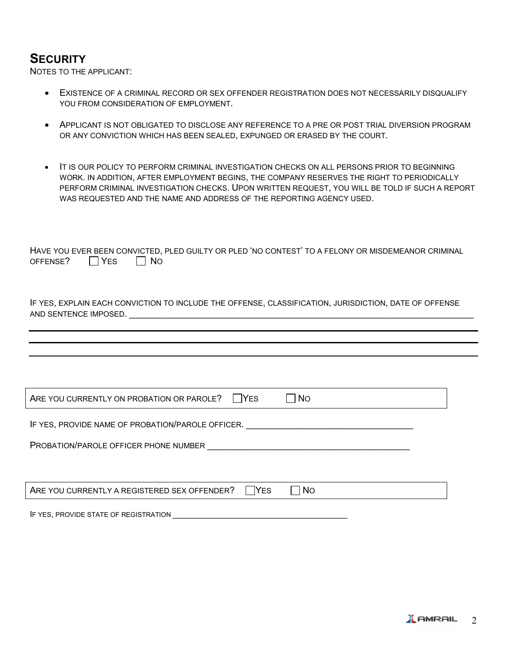### **SECURITY**

NOTES TO THE APPLICANT:

- EXISTENCE OF A CRIMINAL RECORD OR SEX OFFENDER REGISTRATION DOES NOT NECESSARILY DISQUALIFY YOU FROM CONSIDERATION OF EMPLOYMENT.
- APPLICANT IS NOT OBLIGATED TO DISCLOSE ANY REFERENCE TO A PRE OR POST TRIAL DIVERSION PROGRAM OR ANY CONVICTION WHICH HAS BEEN SEALED, EXPUNGED OR ERASED BY THE COURT.
- IT IS OUR POLICY TO PERFORM CRIMINAL INVESTIGATION CHECKS ON ALL PERSONS PRIOR TO BEGINNING WORK. IN ADDITION, AFTER EMPLOYMENT BEGINS, THE COMPANY RESERVES THE RIGHT TO PERIODICALLY PERFORM CRIMINAL INVESTIGATION CHECKS. UPON WRITTEN REQUEST, YOU WILL BE TOLD IF SUCH A REPORT WAS REQUESTED AND THE NAME AND ADDRESS OF THE REPORTING AGENCY USED.

|                               |  |  | HAVE YOU EVER BEEN CONVICTED, PLED GUILTY OR PLED 'NO CONTEST' TO A FELONY OR MISDEMEANOR CRIMINAL |  |
|-------------------------------|--|--|----------------------------------------------------------------------------------------------------|--|
| OFFENSE? $\Box$ YES $\Box$ NO |  |  |                                                                                                    |  |

IF YES, EXPLAIN EACH CONVICTION TO INCLUDE THE OFFENSE, CLASSIFICATION, JURISDICTION, DATE OF OFFENSE AND SENTENCE IMPOSED.

| ARE YOU CURRENTLY ON PROBATION OR PAROLE?<br>I IYES<br><b>No</b>                     |  |  |  |
|--------------------------------------------------------------------------------------|--|--|--|
| IF YES, PROVIDE NAME OF PROBATION/PAROLE OFFICER.                                    |  |  |  |
| <b>PROBATION/PAROLE OFFICER PHONE NUMBER</b>                                         |  |  |  |
|                                                                                      |  |  |  |
| ARE YOU CURRENTLY A REGISTERED SEX OFFENDER?<br>$\overline{\phantom{a}}$ No<br>l Yes |  |  |  |
| IF YES, PROVIDE STATE OF REGISTRATION                                                |  |  |  |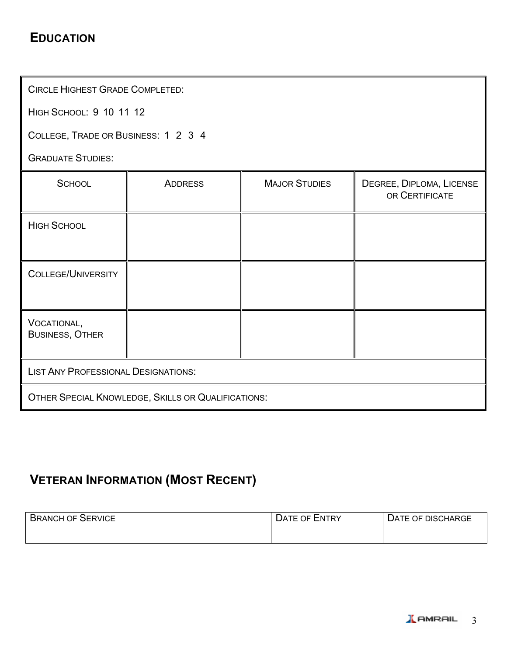### **EDUCATION**

CIRCLE HIGHEST GRADE COMPLETED:

HIGH SCHOOL: 9 10 11 12

COLLEGE, TRADE OR BUSINESS: 1 2 3 4

GRADUATE STUDIES:

| <b>SCHOOL</b>                                      | <b>ADDRESS</b> | <b>MAJOR STUDIES</b> | DEGREE, DIPLOMA, LICENSE<br>OR CERTIFICATE |
|----------------------------------------------------|----------------|----------------------|--------------------------------------------|
| <b>HIGH SCHOOL</b>                                 |                |                      |                                            |
| <b>COLLEGE/UNIVERSITY</b>                          |                |                      |                                            |
| VOCATIONAL,<br><b>BUSINESS, OTHER</b>              |                |                      |                                            |
| <b>LIST ANY PROFESSIONAL DESIGNATIONS:</b>         |                |                      |                                            |
| OTHER SPECIAL KNOWLEDGE, SKILLS OR QUALIFICATIONS: |                |                      |                                            |

## **VETERAN INFORMATION (MOST RECENT)**

| <b>BRANCH OF SERVICE</b> | <b>DATE OF ENTRY</b> | DATE OF DISCHARGE |
|--------------------------|----------------------|-------------------|
|                          |                      |                   |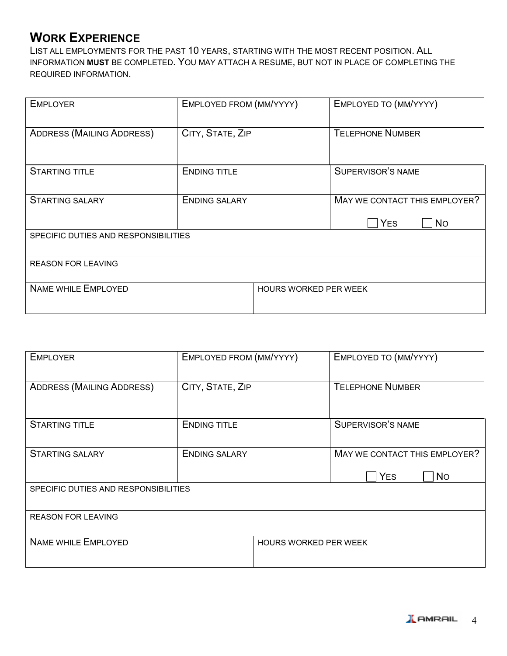### **WORK EXPERIENCE**

LIST ALL EMPLOYMENTS FOR THE PAST 10 YEARS, STARTING WITH THE MOST RECENT POSITION. ALL INFORMATION **MUST** BE COMPLETED. YOU MAY ATTACH A RESUME, BUT NOT IN PLACE OF COMPLETING THE REQUIRED INFORMATION.

| <b>EMPLOYER</b>                      | EMPLOYED FROM (MM/YYYY) |                              | EMPLOYED TO (MM/YYYY)                                    |  |
|--------------------------------------|-------------------------|------------------------------|----------------------------------------------------------|--|
| <b>ADDRESS (MAILING ADDRESS)</b>     | CITY, STATE, ZIP        |                              | <b>TELEPHONE NUMBER</b>                                  |  |
| <b>STARTING TITLE</b>                | <b>ENDING TITLE</b>     |                              | SUPERVISOR'S NAME                                        |  |
| <b>STARTING SALARY</b>               | <b>ENDING SALARY</b>    |                              | MAY WE CONTACT THIS EMPLOYER?<br><b>YES</b><br><b>No</b> |  |
| SPECIFIC DUTIES AND RESPONSIBILITIES |                         |                              |                                                          |  |
| <b>REASON FOR LEAVING</b>            |                         |                              |                                                          |  |
| <b>NAME WHILE EMPLOYED</b>           |                         | <b>HOURS WORKED PER WEEK</b> |                                                          |  |

| <b>EMPLOYER</b>                      | EMPLOYED FROM (MM/YYYY) |                              | EMPLOYED TO (MM/YYYY)                                    |  |
|--------------------------------------|-------------------------|------------------------------|----------------------------------------------------------|--|
| <b>ADDRESS (MAILING ADDRESS)</b>     | CITY, STATE, ZIP        |                              | <b>TELEPHONE NUMBER</b>                                  |  |
| <b>STARTING TITLE</b>                | <b>ENDING TITLE</b>     |                              | <b>SUPERVISOR'S NAME</b>                                 |  |
| <b>STARTING SALARY</b>               | <b>ENDING SALARY</b>    |                              | MAY WE CONTACT THIS EMPLOYER?<br><b>YES</b><br><b>No</b> |  |
| SPECIFIC DUTIES AND RESPONSIBILITIES |                         |                              |                                                          |  |
| <b>REASON FOR LEAVING</b>            |                         |                              |                                                          |  |
| <b>NAME WHILE EMPLOYED</b>           |                         | <b>HOURS WORKED PER WEEK</b> |                                                          |  |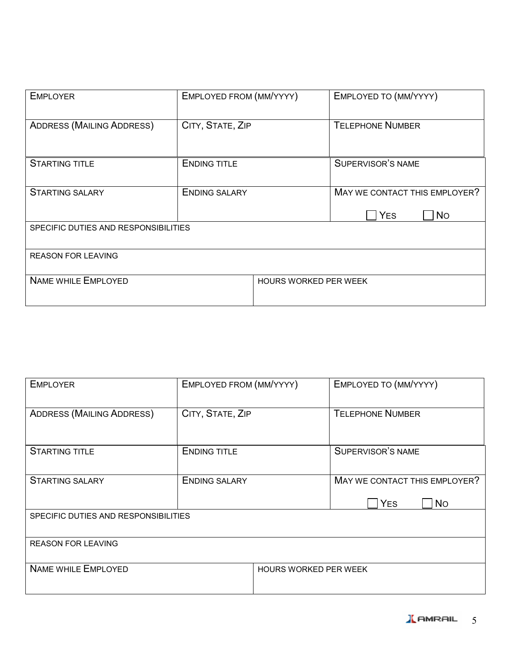| <b>EMPLOYER</b>                      | EMPLOYED FROM (MM/YYYY) |                              | EMPLOYED TO (MM/YYYY)                                    |  |
|--------------------------------------|-------------------------|------------------------------|----------------------------------------------------------|--|
| <b>ADDRESS (MAILING ADDRESS)</b>     | CITY, STATE, ZIP        |                              | <b>TELEPHONE NUMBER</b>                                  |  |
| <b>STARTING TITLE</b>                | <b>ENDING TITLE</b>     |                              | <b>SUPERVISOR'S NAME</b>                                 |  |
| <b>STARTING SALARY</b>               | <b>ENDING SALARY</b>    |                              | MAY WE CONTACT THIS EMPLOYER?<br><b>YES</b><br><b>No</b> |  |
| SPECIFIC DUTIES AND RESPONSIBILITIES |                         |                              |                                                          |  |
| <b>REASON FOR LEAVING</b>            |                         |                              |                                                          |  |
| <b>NAME WHILE EMPLOYED</b>           |                         | <b>HOURS WORKED PER WEEK</b> |                                                          |  |

| <b>EMPLOYER</b>                      | EMPLOYED FROM (MM/YYYY) |                              | EMPLOYED TO (MM/YYYY)                       |           |
|--------------------------------------|-------------------------|------------------------------|---------------------------------------------|-----------|
| <b>ADDRESS (MAILING ADDRESS)</b>     | CITY, STATE, ZIP        |                              | <b>TELEPHONE NUMBER</b>                     |           |
| <b>STARTING TITLE</b>                | <b>ENDING TITLE</b>     |                              | <b>SUPERVISOR'S NAME</b>                    |           |
| <b>STARTING SALARY</b>               | <b>ENDING SALARY</b>    |                              | MAY WE CONTACT THIS EMPLOYER?<br><b>YES</b> | <b>No</b> |
| SPECIFIC DUTIES AND RESPONSIBILITIES |                         |                              |                                             |           |
| <b>REASON FOR LEAVING</b>            |                         |                              |                                             |           |
| <b>NAME WHILE EMPLOYED</b>           |                         | <b>HOURS WORKED PER WEEK</b> |                                             |           |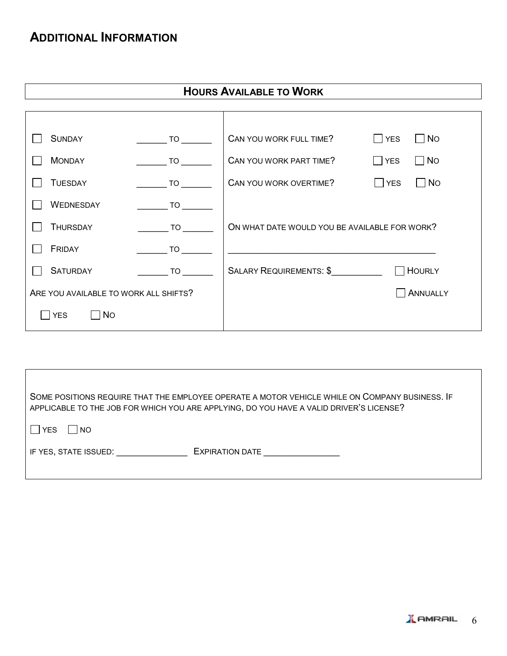### **ADDITIONAL INFORMATION**

|                                       |                                                      | <b>HOURS AVAILABLE TO WORK</b>                |                                |
|---------------------------------------|------------------------------------------------------|-----------------------------------------------|--------------------------------|
|                                       |                                                      |                                               |                                |
|                                       |                                                      |                                               |                                |
| <b>SUNDAY</b>                         | $\overline{\phantom{a}}$ TO $\overline{\phantom{a}}$ | CAN YOU WORK FULL TIME?                       | $\Box$ No<br>$\Box$ YES        |
| <b>MONDAY</b>                         | <b>TO</b>                                            | CAN YOU WORK PART TIME?                       | $\Box$ No<br>$\Box$ YES        |
| <b>TUESDAY</b>                        | $\overline{\phantom{a}}$ TO $\overline{\phantom{a}}$ | CAN YOU WORK OVERTIME?                        | $\neg$ No<br>$\vert \vert$ YES |
| WEDNESDAY                             | <b>TO</b>                                            |                                               |                                |
| <b>THURSDAY</b>                       | <b>TO</b>                                            | ON WHAT DATE WOULD YOU BE AVAILABLE FOR WORK? |                                |
| FRIDAY                                | <b>TO</b>                                            |                                               |                                |
| <b>SATURDAY</b>                       | <b>TO</b>                                            | SALARY REQUIREMENTS: \$                       | $\Box$ Hourly                  |
| ARE YOU AVAILABLE TO WORK ALL SHIFTS? |                                                      |                                               | ANNUALLY                       |
| N <sub>O</sub><br> YES                |                                                      |                                               |                                |

| SOME POSITIONS REQUIRE THAT THE EMPLOYEE OPERATE A MOTOR VEHICLE WHILE ON COMPANY BUSINESS. IF<br>APPLICABLE TO THE JOB FOR WHICH YOU ARE APPLYING, DO YOU HAVE A VALID DRIVER'S LICENSE? |
|-------------------------------------------------------------------------------------------------------------------------------------------------------------------------------------------|
| <b>YES</b><br><b>NO</b>                                                                                                                                                                   |
| <b>EXPIRATION DATE</b><br>IF YES, STATE ISSUED: THE YES, STATE ISSUED:                                                                                                                    |
|                                                                                                                                                                                           |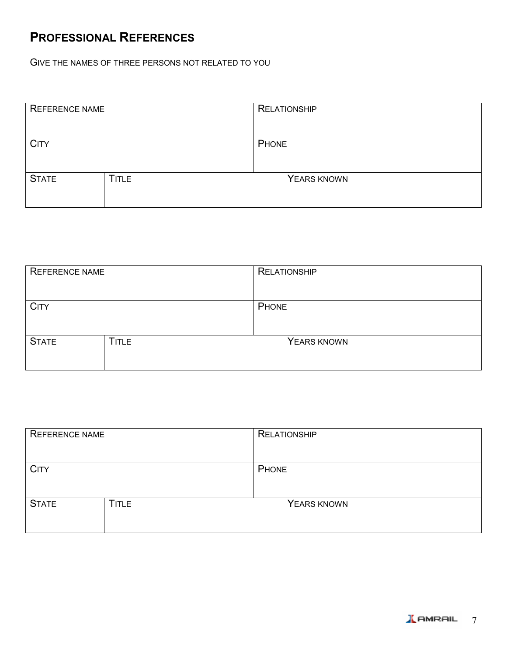### **PROFESSIONAL REFERENCES**

GIVE THE NAMES OF THREE PERSONS NOT RELATED TO YOU

| REFERENCE NAME |              |       | <b>RELATIONSHIP</b> |
|----------------|--------------|-------|---------------------|
|                |              |       |                     |
| <b>CITY</b>    |              | PHONE |                     |
|                |              |       |                     |
| <b>STATE</b>   | <b>TITLE</b> |       | YEARS KNOWN         |
|                |              |       |                     |

| <b>REFERENCE NAME</b> |              | <b>RELATIONSHIP</b> |             |
|-----------------------|--------------|---------------------|-------------|
|                       |              |                     |             |
| <b>CITY</b>           |              | PHONE               |             |
|                       |              |                     |             |
| <b>STATE</b>          | <b>TITLE</b> |                     | YEARS KNOWN |
|                       |              |                     |             |

| REFERENCE NAME |              |       | <b>RELATIONSHIP</b> |
|----------------|--------------|-------|---------------------|
| <b>CITY</b>    |              | PHONE |                     |
| <b>STATE</b>   | <b>TITLE</b> |       | YEARS KNOWN         |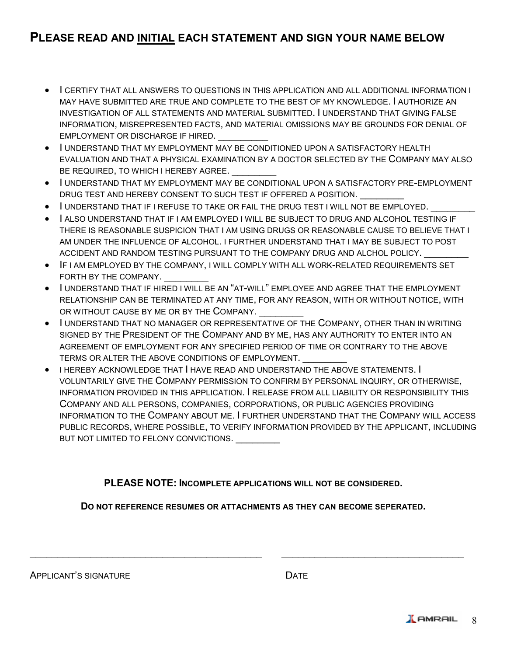### **PLEASE READ AND INITIAL EACH STATEMENT AND SIGN YOUR NAME BELOW**

- I CERTIFY THAT ALL ANSWERS TO QUESTIONS IN THIS APPLICATION AND ALL ADDITIONAL INFORMATION I MAY HAVE SUBMITTED ARE TRUE AND COMPLETE TO THE BEST OF MY KNOWLEDGE. I AUTHORIZE AN INVESTIGATION OF ALL STATEMENTS AND MATERIAL SUBMITTED. I UNDERSTAND THAT GIVING FALSE INFORMATION, MISREPRESENTED FACTS, AND MATERIAL OMISSIONS MAY BE GROUNDS FOR DENIAL OF EMPLOYMENT OR DISCHARGE IF HIRED.
- I UNDERSTAND THAT MY EMPLOYMENT MAY BE CONDITIONED UPON A SATISFACTORY HEALTH EVALUATION AND THAT A PHYSICAL EXAMINATION BY A DOCTOR SELECTED BY THE COMPANY MAY ALSO BE REQUIRED, TO WHICH I HEREBY AGREE.
- I UNDERSTAND THAT MY EMPLOYMENT MAY BE CONDITIONAL UPON A SATISFACTORY PRE-EMPLOYMENT DRUG TEST AND HEREBY CONSENT TO SUCH TEST IF OFFERED A POSITION.
- I UNDERSTAND THAT IF I REFUSE TO TAKE OR FAIL THE DRUG TEST I WILL NOT BE EMPLOYED.
- I ALSO UNDERSTAND THAT IF I AM EMPLOYED I WILL BE SUBJECT TO DRUG AND ALCOHOL TESTING IF THERE IS REASONABLE SUSPICION THAT I AM USING DRUGS OR REASONABLE CAUSE TO BELIEVE THAT I AM UNDER THE INFLUENCE OF ALCOHOL. I FURTHER UNDERSTAND THAT I MAY BE SUBJECT TO POST ACCIDENT AND RANDOM TESTING PURSUANT TO THE COMPANY DRUG AND ALCHOL POLICY.
- IF I AM EMPLOYED BY THE COMPANY, I WILL COMPLY WITH ALL WORK-RELATED REQUIREMENTS SET FORTH BY THE COMPANY.
- I UNDERSTAND THAT IF HIRED I WILL BE AN "AT-WILL" EMPLOYEE AND AGREE THAT THE EMPLOYMENT RELATIONSHIP CAN BE TERMINATED AT ANY TIME, FOR ANY REASON, WITH OR WITHOUT NOTICE, WITH OR WITHOUT CAUSE BY ME OR BY THE COMPANY.
- I UNDERSTAND THAT NO MANAGER OR REPRESENTATIVE OF THE COMPANY, OTHER THAN IN WRITING SIGNED BY THE PRESIDENT OF THE COMPANY AND BY ME, HAS ANY AUTHORITY TO ENTER INTO AN AGREEMENT OF EMPLOYMENT FOR ANY SPECIFIED PERIOD OF TIME OR CONTRARY TO THE ABOVE TERMS OR ALTER THE ABOVE CONDITIONS OF EMPLOYMENT.
- I HEREBY ACKNOWLEDGE THAT I HAVE READ AND UNDERSTAND THE ABOVE STATEMENTS. I VOLUNTARILY GIVE THE COMPANY PERMISSION TO CONFIRM BY PERSONAL INQUIRY, OR OTHERWISE, INFORMATION PROVIDED IN THIS APPLICATION. I RELEASE FROM ALL LIABILITY OR RESPONSIBILITY THIS COMPANY AND ALL PERSONS, COMPANIES, CORPORATIONS, OR PUBLIC AGENCIES PROVIDING INFORMATION TO THE COMPANY ABOUT ME. I FURTHER UNDERSTAND THAT THE COMPANY WILL ACCESS PUBLIC RECORDS, WHERE POSSIBLE, TO VERIFY INFORMATION PROVIDED BY THE APPLICANT, INCLUDING BUT NOT LIMITED TO FELONY CONVICTIONS.

**PLEASE NOTE: INCOMPLETE APPLICATIONS WILL NOT BE CONSIDERED.**

**DO NOT REFERENCE RESUMES OR ATTACHMENTS AS THEY CAN BECOME SEPERATED.** 

\_\_\_\_\_\_\_\_\_\_\_\_\_\_\_\_\_\_\_\_\_\_\_\_\_\_\_\_\_\_\_\_\_\_\_\_\_\_\_\_\_\_ \_\_\_\_\_\_\_\_\_\_\_\_\_\_\_\_\_\_\_\_\_\_\_\_\_\_\_\_\_\_\_\_\_

APPLICANT'S SIGNATURE DATE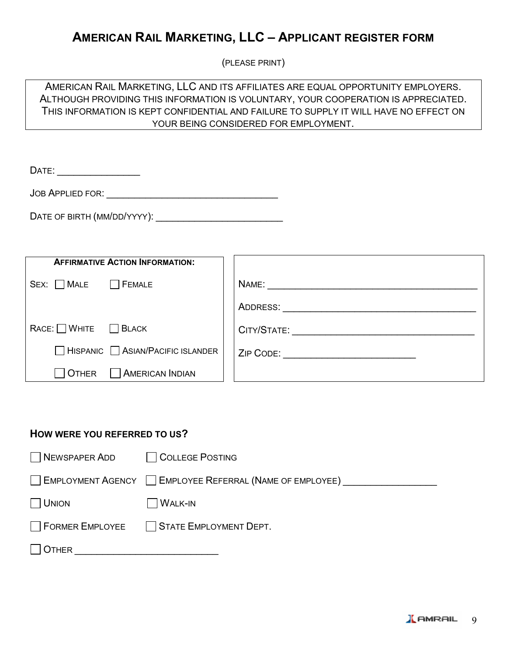### **AMERICAN RAIL MARKETING, LLC – APPLICANT REGISTER FORM**

(PLEASE PRINT)

AMERICAN RAIL MARKETING, LLC AND ITS AFFILIATES ARE EQUAL OPPORTUNITY EMPLOYERS. ALTHOUGH PROVIDING THIS INFORMATION IS VOLUNTARY, YOUR COOPERATION IS APPRECIATED. THIS INFORMATION IS KEPT CONFIDENTIAL AND FAILURE TO SUPPLY IT WILL HAVE NO EFFECT ON YOUR BEING CONSIDERED FOR EMPLOYMENT.

DATE: \_\_\_\_\_\_\_\_\_\_\_\_\_\_\_

JOB APPLIED FOR: \_\_\_\_\_\_\_\_\_\_\_\_\_\_\_\_\_\_\_\_\_\_\_\_\_\_\_\_\_\_\_

DATE OF BIRTH (MM/DD/YYYY):

| <b>AFFIRMATIVE ACTION INFORMATION:</b> |                                     |
|----------------------------------------|-------------------------------------|
| $Sex:$ $MAE$<br><b>FEMALE</b>          | NAME: _________________________     |
|                                        | ADDRESS:                            |
| $RACE:$ WHITE $\Box$ BLACK             | CITY/STATE: _________               |
| HISPANIC ASIAN/PACIFIC ISLANDER        | ZIP CODE: _________________________ |
| AMERICAN INDIAN<br><b>OTHER</b>        |                                     |

#### **HOW WERE YOU REFERRED TO US?**

| NEWSPAPER ADD COLLEGE POSTING |                                                            |
|-------------------------------|------------------------------------------------------------|
|                               | ∐ EMPLOYMENT AGENCY I EMPLOYEE REFERRAL (NAME OF EMPLOYEE) |
| $ $ UNION                     | $\Box$ Walk-IN                                             |
|                               | STATE EMPLOYEE   STATE EMPLOYMENT DEPT.                    |
| OTHER                         |                                                            |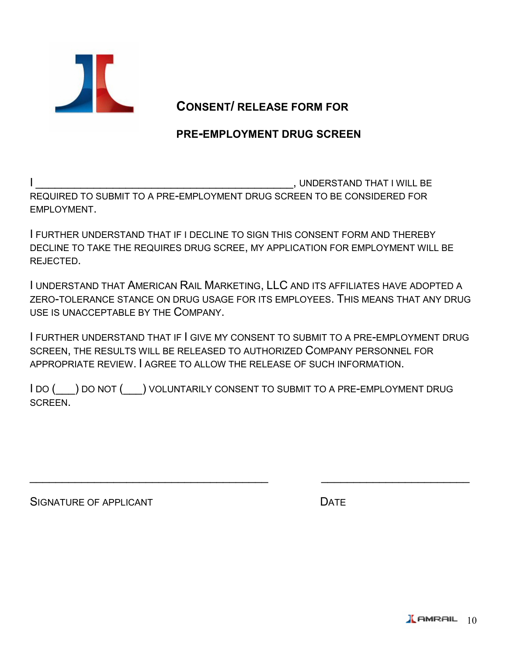

### **CONSENT/ RELEASE FORM FOR**

### **PRE-EMPLOYMENT DRUG SCREEN**

, UNDERSTAND THAT I WILL BE REQUIRED TO SUBMIT TO A PRE-EMPLOYMENT DRUG SCREEN TO BE CONSIDERED FOR EMPLOYMENT.

I FURTHER UNDERSTAND THAT IF I DECLINE TO SIGN THIS CONSENT FORM AND THEREBY DECLINE TO TAKE THE REQUIRES DRUG SCREE, MY APPLICATION FOR EMPLOYMENT WILL BE REJECTED.

I UNDERSTAND THAT AMERICAN RAIL MARKETING, LLC AND ITS AFFILIATES HAVE ADOPTED A ZERO-TOLERANCE STANCE ON DRUG USAGE FOR ITS EMPLOYEES. THIS MEANS THAT ANY DRUG USE IS UNACCEPTABLE BY THE COMPANY.

I FURTHER UNDERSTAND THAT IF I GIVE MY CONSENT TO SUBMIT TO A PRE-EMPLOYMENT DRUG SCREEN, THE RESULTS WILL BE RELEASED TO AUTHORIZED COMPANY PERSONNEL FOR APPROPRIATE REVIEW. I AGREE TO ALLOW THE RELEASE OF SUCH INFORMATION.

I DO (\_\_\_) DO NOT (\_\_\_) VOLUNTARILY CONSENT TO SUBMIT TO A PRE-EMPLOYMENT DRUG SCREEN.

 $\frac{1}{2}$  ,  $\frac{1}{2}$  ,  $\frac{1}{2}$  ,  $\frac{1}{2}$  ,  $\frac{1}{2}$  ,  $\frac{1}{2}$  ,  $\frac{1}{2}$  ,  $\frac{1}{2}$  ,  $\frac{1}{2}$  ,  $\frac{1}{2}$  ,  $\frac{1}{2}$  ,  $\frac{1}{2}$  ,  $\frac{1}{2}$  ,  $\frac{1}{2}$  ,  $\frac{1}{2}$  ,  $\frac{1}{2}$  ,  $\frac{1}{2}$  ,  $\frac{1}{2}$  ,  $\frac{1$ 

SIGNATURE OF APPLICANT **EXECUTE ASSESSMENT CONTRACT OF A SET A**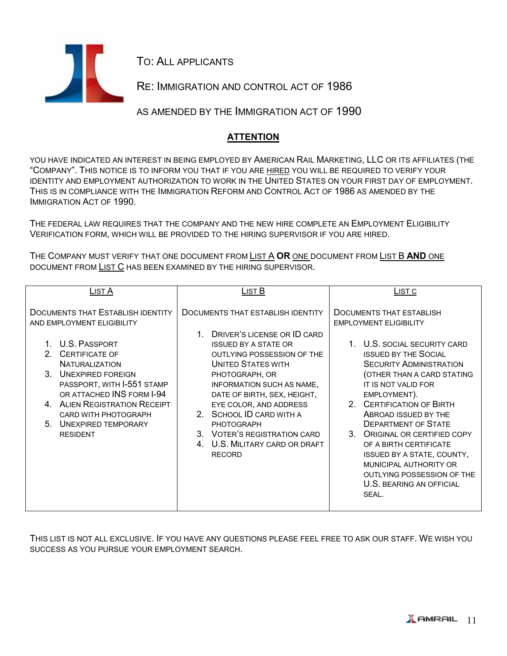

TO: ALL APPLICANTS

RE: IMMIGRATION AND CONTROL ACT OF 1986

AS AMENDED BY THE IMMIGRATION ACT OF 1990

#### **ATTENTION**

YOU HAVE INDICATED AN INTEREST IN BEING EMPLOYED BY AMERICAN RAIL MARKETING, LLC OR ITS AFFILIATES (THE "COMPANY". THIS NOTICE IS TO INFORM YOU THAT IF YOU ARE HIRED YOU WILL BE REQUIRED TO VERIFY YOUR IDENTITY AND EMPLOYMENT AUTHORIZATION TO WORK IN THE UNITED STATES ON YOUR FIRST DAY OF EMPLOYMENT. THIS IS IN COMPLIANCE WITH THE IMMIGRATION REFORM AND CONTROL ACT OF 1986 AS AMENDED BY THE IMMIGRATION ACT OF 1990.

THE FEDERAL LAW REQUIRES THAT THE COMPANY AND THE NEW HIRE COMPLETE AN EMPLOYMENT ELIGIBILITY VERIFICATION FORM, WHICH WILL BE PROVIDED TO THE HIRING SUPERVISOR IF YOU ARE HIRED.

THE COMPANY MUST VERIFY THAT ONE DOCUMENT FROM LIST A **OR** ONE DOCUMENT FROM LIST B **AND** ONE DOCUMENT FROM LIST C HAS BEEN EXAMINED BY THE HIRING SUPERVISOR.

| LIST <sub>A</sub>                          | LIST B                            | LIST C                                |  |  |  |
|--------------------------------------------|-----------------------------------|---------------------------------------|--|--|--|
|                                            |                                   |                                       |  |  |  |
| <b>DOCUMENTS THAT ESTABLISH IDENTITY</b>   | DOCUMENTS THAT ESTABLISH IDENTITY | DOCUMENTS THAT ESTABLISH              |  |  |  |
| AND EMPLOYMENT ELIGIBILITY                 |                                   | <b>EMPLOYMENT ELIGIBILITY</b>         |  |  |  |
|                                            |                                   |                                       |  |  |  |
|                                            | DRIVER'S LICENSE OR ID CARD       |                                       |  |  |  |
| 1. U.S. PASSPORT                           | <b>ISSUED BY A STATE OR</b>       | 1. U.S. SOCIAL SECURITY CARD          |  |  |  |
| $\mathcal{P}$<br><b>CERTIFICATE OF</b>     | OUTLYING POSSESSION OF THE        | <b>ISSUED BY THE SOCIAL</b>           |  |  |  |
| <b>NATURALIZATION</b>                      | <b>UNITED STATES WITH</b>         | <b>SECURITY ADMINISTRATION</b>        |  |  |  |
| 3 <sub>1</sub><br><b>UNEXPIRED FOREIGN</b> | PHOTOGRAPH, OR                    | (OTHER THAN A CARD STATING            |  |  |  |
| PASSPORT, WITH I-551 STAMP                 | INFORMATION SUCH AS NAME,         | IT IS NOT VALID FOR                   |  |  |  |
| OR ATTACHED INS FORM I-94                  | DATE OF BIRTH, SEX, HEIGHT,       | EMPLOYMENT).                          |  |  |  |
| 4. ALIEN REGISTRATION RECEIPT              | EYE COLOR, AND ADDRESS            | 2. CERTIFICATION OF BIRTH             |  |  |  |
| <b>CARD WITH PHOTOGRAPH</b>                | SCHOOL ID CARD WITH A<br>2        | ABROAD ISSUED BY THE                  |  |  |  |
| 5<br><b>UNEXPIRED TEMPORARY</b>            | <b>PHOTOGRAPH</b>                 | <b>DEPARTMENT OF STATE</b>            |  |  |  |
|                                            |                                   |                                       |  |  |  |
| <b>RESIDENT</b>                            | 3. VOTER'S REGISTRATION CARD      | $3_{-}$<br>ORIGINAL OR CERTIFIED COPY |  |  |  |
|                                            | U.S. MILITARY CARD OR DRAFT<br>4. | OF A BIRTH CERTIFICATE                |  |  |  |
|                                            | <b>RECORD</b>                     | ISSUED BY A STATE, COUNTY,            |  |  |  |
|                                            |                                   | MUNICIPAL AUTHORITY OR                |  |  |  |
|                                            |                                   | OUTLYING POSSESSION OF THE            |  |  |  |
|                                            |                                   | <b>U.S. BEARING AN OFFICIAL</b>       |  |  |  |
|                                            |                                   | SEAL.                                 |  |  |  |
|                                            |                                   |                                       |  |  |  |
|                                            |                                   |                                       |  |  |  |

THIS LIST IS NOT ALL EXCLUSIVE. IF YOU HAVE ANY QUESTIONS PLEASE FEEL FREE TO ASK OUR STAFF. WE WISH YOU SUCCESS AS YOU PURSUE YOUR EMPLOYMENT SEARCH.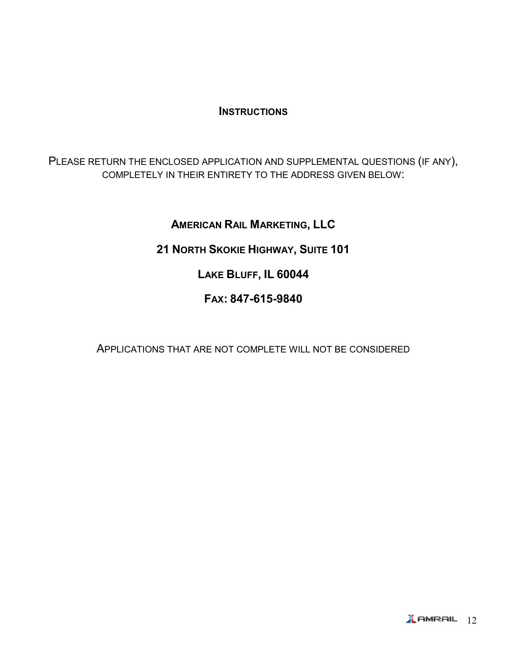### **INSTRUCTIONS**

PLEASE RETURN THE ENCLOSED APPLICATION AND SUPPLEMENTAL QUESTIONS (IF ANY), COMPLETELY IN THEIR ENTIRETY TO THE ADDRESS GIVEN BELOW:

### **AMERICAN RAIL MARKETING, LLC**

### **21 NORTH SKOKIE HIGHWAY, SUITE 101**

### **LAKE BLUFF, IL 60044**

### **FAX: 847-615-9840**

APPLICATIONS THAT ARE NOT COMPLETE WILL NOT BE CONSIDERED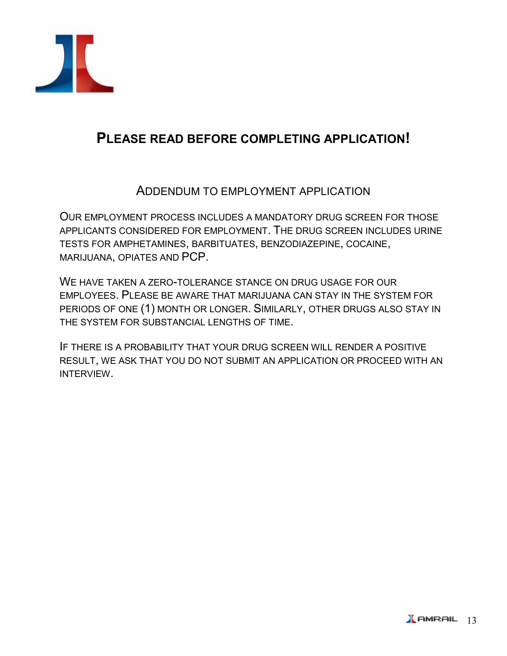

## **PLEASE READ BEFORE COMPLETING APPLICATION!**

### ADDENDUM TO EMPLOYMENT APPLICATION

OUR EMPLOYMENT PROCESS INCLUDES A MANDATORY DRUG SCREEN FOR THOSE APPLICANTS CONSIDERED FOR EMPLOYMENT. THE DRUG SCREEN INCLUDES URINE TESTS FOR AMPHETAMINES, BARBITUATES, BENZODIAZEPINE, COCAINE, MARIJUANA, OPIATES AND PCP.

WE HAVE TAKEN A ZERO-TOLERANCE STANCE ON DRUG USAGE FOR OUR EMPLOYEES. PLEASE BE AWARE THAT MARIJUANA CAN STAY IN THE SYSTEM FOR PERIODS OF ONE (1) MONTH OR LONGER. SIMILARLY, OTHER DRUGS ALSO STAY IN THE SYSTEM FOR SUBSTANCIAL LENGTHS OF TIME.

IF THERE IS A PROBABILITY THAT YOUR DRUG SCREEN WILL RENDER A POSITIVE RESULT, WE ASK THAT YOU DO NOT SUBMIT AN APPLICATION OR PROCEED WITH AN INTERVIEW.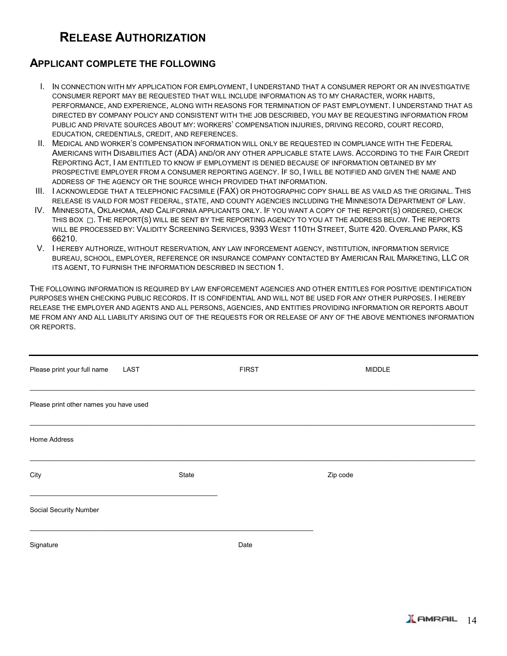### **RELEASE AUTHORIZATION**

#### **APPLICANT COMPLETE THE FOLLOWING**

- I. IN CONNECTION WITH MY APPLICATION FOR EMPLOYMENT, I UNDERSTAND THAT A CONSUMER REPORT OR AN INVESTIGATIVE CONSUMER REPORT MAY BE REQUESTED THAT WILL INCLUDE INFORMATION AS TO MY CHARACTER, WORK HABITS, PERFORMANCE, AND EXPERIENCE, ALONG WITH REASONS FOR TERMINATION OF PAST EMPLOYMENT. I UNDERSTAND THAT AS DIRECTED BY COMPANY POLICY AND CONSISTENT WITH THE JOB DESCRIBED, YOU MAY BE REQUESTING INFORMATION FROM PUBLIC AND PRIVATE SOURCES ABOUT MY: WORKERS' COMPENSATION INJURIES, DRIVING RECORD, COURT RECORD, EDUCATION, CREDENTIALS, CREDIT, AND REFERENCES.
- II. MEDICAL AND WORKER'S COMPENSATION INFORMATION WILL ONLY BE REQUESTED IN COMPLIANCE WITH THE FEDERAL AMERICANS WITH DISABILITIES ACT (ADA) AND/OR ANY OTHER APPLICABLE STATE LAWS. ACCORDING TO THE FAIR CREDIT REPORTING ACT, I AM ENTITLED TO KNOW IF EMPLOYMENT IS DENIED BECAUSE OF INFORMATION OBTAINED BY MY PROSPECTIVE EMPLOYER FROM A CONSUMER REPORTING AGENCY. IF SO, I WILL BE NOTIFIED AND GIVEN THE NAME AND ADDRESS OF THE AGENCY OR THE SOURCE WHICH PROVIDED THAT INFORMATION.
- III. I ACKNOWLEDGE THAT A TELEPHONIC FACSIMILE (FAX) OR PHOTOGRAPHIC COPY SHALL BE AS VAILD AS THE ORIGINAL. THIS RELEASE IS VAILD FOR MOST FEDERAL, STATE, AND COUNTY AGENCIES INCLUDING THE MINNESOTA DEPARTMENT OF LAW.
- IV. MINNESOTA, OKLAHOMA, AND CALIFORNIA APPLICANTS ONLY. IF YOU WANT A COPY OF THE REPORT(S) ORDERED, CHECK THIS BOX  $\Box$ . THE REPORT(S) WILL BE SENT BY THE REPORTING AGENCY TO YOU AT THE ADDRESS BELOW. THE REPORTS WILL BE PROCESSED BY: VALIDITY SCREENING SERVICES, 9393 WEST 110TH STREET, SUITE 420. OVERLAND PARK, KS 66210.
- V. I HEREBY AUTHORIZE, WITHOUT RESERVATION, ANY LAW INFORCEMENT AGENCY, INSTITUTION, INFORMATION SERVICE BUREAU, SCHOOL, EMPLOYER, REFERENCE OR INSURANCE COMPANY CONTACTED BY AMERICAN RAIL MARKETING, LLC OR ITS AGENT, TO FURNISH THE INFORMATION DESCRIBED IN SECTION 1.

THE FOLLOWING INFORMATION IS REQUIRED BY LAW ENFORCEMENT AGENCIES AND OTHER ENTITLES FOR POSITIVE IDENTIFICATION PURPOSES WHEN CHECKING PUBLIC RECORDS. IT IS CONFIDENTIAL AND WILL NOT BE USED FOR ANY OTHER PURPOSES. I HEREBY RELEASE THE EMPLOYER AND AGENTS AND ALL PERSONS, AGENCIES, AND ENTITIES PROVIDING INFORMATION OR REPORTS ABOUT ME FROM ANY AND ALL LIABILITY ARISING OUT OF THE REQUESTS FOR OR RELEASE OF ANY OF THE ABOVE MENTIONES INFORMATION OR REPORTS.

| Please print your full name            | LAST  | <b>FIRST</b> | <b>MIDDLE</b> |  |
|----------------------------------------|-------|--------------|---------------|--|
| Please print other names you have used |       |              |               |  |
| Home Address                           |       |              |               |  |
| City                                   | State |              | Zip code      |  |
| Social Security Number                 |       |              |               |  |
| Signature                              |       | Date         |               |  |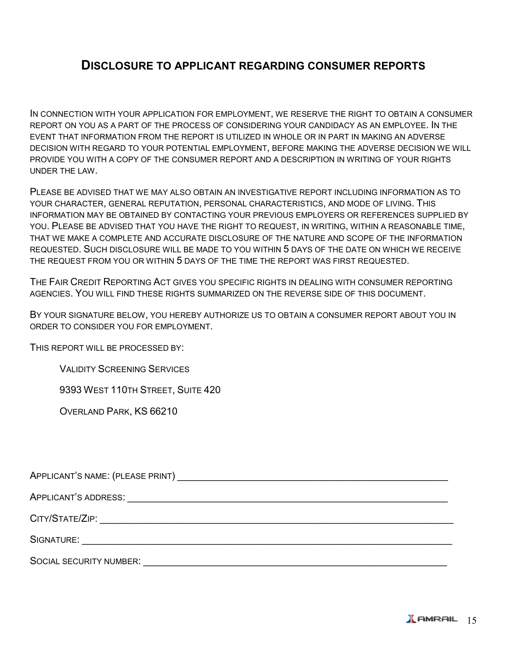### **DISCLOSURE TO APPLICANT REGARDING CONSUMER REPORTS**

IN CONNECTION WITH YOUR APPLICATION FOR EMPLOYMENT, WE RESERVE THE RIGHT TO OBTAIN A CONSUMER REPORT ON YOU AS A PART OF THE PROCESS OF CONSIDERING YOUR CANDIDACY AS AN EMPLOYEE. IN THE EVENT THAT INFORMATION FROM THE REPORT IS UTILIZED IN WHOLE OR IN PART IN MAKING AN ADVERSE DECISION WITH REGARD TO YOUR POTENTIAL EMPLOYMENT, BEFORE MAKING THE ADVERSE DECISION WE WILL PROVIDE YOU WITH A COPY OF THE CONSUMER REPORT AND A DESCRIPTION IN WRITING OF YOUR RIGHTS UNDER THE LAW.

PLEASE BE ADVISED THAT WE MAY ALSO OBTAIN AN INVESTIGATIVE REPORT INCLUDING INFORMATION AS TO YOUR CHARACTER, GENERAL REPUTATION, PERSONAL CHARACTERISTICS, AND MODE OF LIVING. THIS INFORMATION MAY BE OBTAINED BY CONTACTING YOUR PREVIOUS EMPLOYERS OR REFERENCES SUPPLIED BY YOU. PLEASE BE ADVISED THAT YOU HAVE THE RIGHT TO REQUEST, IN WRITING, WITHIN A REASONABLE TIME, THAT WE MAKE A COMPLETE AND ACCURATE DISCLOSURE OF THE NATURE AND SCOPE OF THE INFORMATION REQUESTED. SUCH DISCLOSURE WILL BE MADE TO YOU WITHIN 5 DAYS OF THE DATE ON WHICH WE RECEIVE THE REQUEST FROM YOU OR WITHIN 5 DAYS OF THE TIME THE REPORT WAS FIRST REQUESTED.

THE FAIR CREDIT REPORTING ACT GIVES YOU SPECIFIC RIGHTS IN DEALING WITH CONSUMER REPORTING AGENCIES. YOU WILL FIND THESE RIGHTS SUMMARIZED ON THE REVERSE SIDE OF THIS DOCUMENT.

BY YOUR SIGNATURE BELOW, YOU HEREBY AUTHORIZE US TO OBTAIN A CONSUMER REPORT ABOUT YOU IN ORDER TO CONSIDER YOU FOR EMPLOYMENT.

THIS REPORT WILL BE PROCESSED BY:

VALIDITY SCREENING SERVICES

9393 WEST 110TH STREET, SUITE 420

OVERLAND PARK, KS 66210

APPLICANT'S NAME: (PLEASE PRINT) THE SERVICE OF STRING STRING STRING STRING STRING STRING STRING STRING STRING

APPLICANT'S ADDRESS: \_\_\_\_\_\_\_\_\_\_\_\_\_\_\_\_\_\_\_\_\_\_\_\_\_\_\_\_\_\_\_\_\_\_\_\_\_\_\_\_\_\_\_\_\_\_\_\_\_\_\_\_\_\_\_\_\_\_

CITY/STATE/ZIP: \_\_\_\_\_\_\_\_\_\_\_\_\_\_\_\_\_\_\_\_\_\_\_\_\_\_\_\_\_\_\_\_\_\_\_\_\_\_\_\_\_\_\_\_\_\_\_\_\_\_\_\_\_\_\_\_\_\_\_\_\_\_\_\_

SIGNATURE: with the state of the state of the state of the state of the state of the state of the state of the state of the state of the state of the state of the state of the state of the state of the state of the state o

SOCIAL SECURITY NUMBER: \_\_\_\_\_\_\_\_\_\_\_\_\_\_\_\_\_\_\_\_\_\_\_\_\_\_\_\_\_\_\_\_\_\_\_\_\_\_\_\_\_\_\_\_\_\_\_\_\_\_\_\_\_\_\_